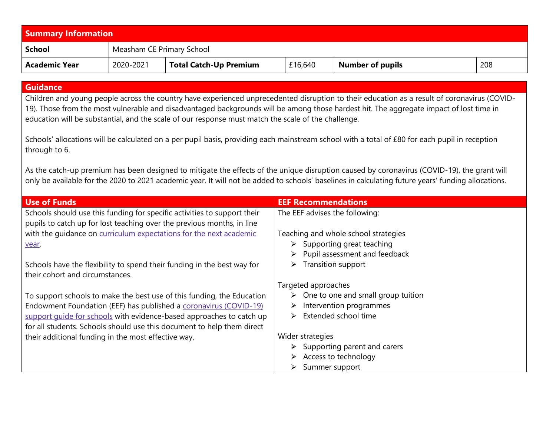| <b>Summary Information</b> |                           |                        |         |                  |     |  |
|----------------------------|---------------------------|------------------------|---------|------------------|-----|--|
| School                     | Measham CE Primary School |                        |         |                  |     |  |
| Academic Year              | 2020-2021                 | Total Catch-Up Premium | £16,640 | Number of pupils | 208 |  |

## **Guidance**

Children and young people across the country have experienced unprecedented disruption to their education as a result of coronavirus (COVID-19). Those from the most vulnerable and disadvantaged backgrounds will be among those hardest hit. The aggregate impact of lost time in education will be substantial, and the scale of our response must match the scale of the challenge.

Schools' allocations will be calculated on a per pupil basis, providing each mainstream school with a total of £80 for each pupil in reception through to 6.

As the catch-up premium has been designed to mitigate the effects of the unique disruption caused by coronavirus (COVID-19), the grant will only be available for the 2020 to 2021 academic year. It will not be added to schools' baselines in calculating future years' funding allocations.

| <b>Use of Funds</b>                                                                                                                                | <b>EEF Recommendations</b>                             |
|----------------------------------------------------------------------------------------------------------------------------------------------------|--------------------------------------------------------|
| Schools should use this funding for specific activities to support their<br>pupils to catch up for lost teaching over the previous months, in line | The EEF advises the following:                         |
| with the quidance on curriculum expectations for the next academic                                                                                 | Teaching and whole school strategies                   |
| year.                                                                                                                                              | $\triangleright$ Supporting great teaching             |
|                                                                                                                                                    | Pupil assessment and feedback<br>$\blacktriangleright$ |
| Schools have the flexibility to spend their funding in the best way for<br>their cohort and circumstances.                                         | Transition support<br>➤                                |
|                                                                                                                                                    | Targeted approaches                                    |
| To support schools to make the best use of this funding, the Education                                                                             | $\triangleright$ One to one and small group tuition    |
| Endowment Foundation (EEF) has published a coronavirus (COVID-19)                                                                                  | Intervention programmes<br>➤                           |
| support guide for schools with evidence-based approaches to catch up                                                                               | Extended school time<br>➤                              |
| for all students. Schools should use this document to help them direct                                                                             |                                                        |
| their additional funding in the most effective way.                                                                                                | Wider strategies                                       |
|                                                                                                                                                    | $\triangleright$ Supporting parent and carers          |
|                                                                                                                                                    | Access to technology<br>➤                              |
|                                                                                                                                                    | Summer support                                         |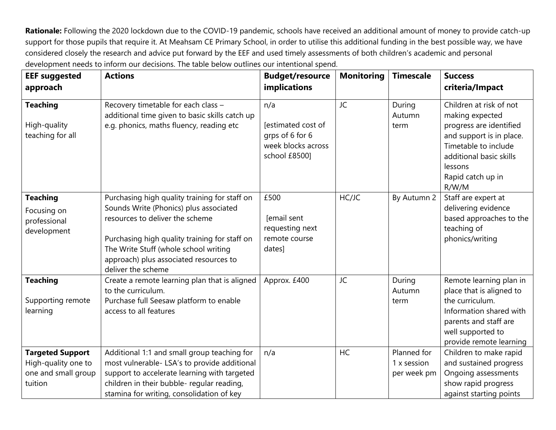**Rationale:** Following the 2020 lockdown due to the COVID-19 pandemic, schools have received an additional amount of money to provide catch-up support for those pupils that require it. At Meahsam CE Primary School, in order to utilise this additional funding in the best possible way, we have considered closely the research and advice put forward by the EEF and used timely assessments of both children's academic and personal development needs to inform our decisions. The table below outlines our intentional spend.

| <b>EEF suggested</b><br>approach                                                 | <b>Actions</b>                                                                                                                                                                                                                                                                       | <b>Budget/resource</b><br><b>implications</b>                                       | <b>Monitoring</b> | <b>Timescale</b>                          | <b>Success</b><br>criteria/Impact                                                                                                                                                             |
|----------------------------------------------------------------------------------|--------------------------------------------------------------------------------------------------------------------------------------------------------------------------------------------------------------------------------------------------------------------------------------|-------------------------------------------------------------------------------------|-------------------|-------------------------------------------|-----------------------------------------------------------------------------------------------------------------------------------------------------------------------------------------------|
| <b>Teaching</b><br>High-quality<br>teaching for all                              | Recovery timetable for each class -<br>additional time given to basic skills catch up<br>e.g. phonics, maths fluency, reading etc                                                                                                                                                    | n/a<br>[estimated cost of<br>grps of 6 for 6<br>week blocks across<br>school £8500] | JC                | During<br>Autumn<br>term                  | Children at risk of not<br>making expected<br>progress are identified<br>and support is in place.<br>Timetable to include<br>additional basic skills<br>lessons<br>Rapid catch up in<br>R/W/M |
| <b>Teaching</b><br>Focusing on<br>professional<br>development                    | Purchasing high quality training for staff on<br>Sounds Write (Phonics) plus associated<br>resources to deliver the scheme<br>Purchasing high quality training for staff on<br>The Write Stuff (whole school writing<br>approach) plus associated resources to<br>deliver the scheme | £500<br>[email sent<br>requesting next<br>remote course<br>dates]                   | HC/JC             | By Autumn 2                               | Staff are expert at<br>delivering evidence<br>based approaches to the<br>teaching of<br>phonics/writing                                                                                       |
| <b>Teaching</b><br>Supporting remote<br>learning                                 | Create a remote learning plan that is aligned<br>to the curriculum.<br>Purchase full Seesaw platform to enable<br>access to all features                                                                                                                                             | Approx. £400                                                                        | JC                | During<br>Autumn<br>term                  | Remote learning plan in<br>place that is aligned to<br>the curriculum.<br>Information shared with<br>parents and staff are<br>well supported to<br>provide remote learning                    |
| <b>Targeted Support</b><br>High-quality one to<br>one and small group<br>tuition | Additional 1:1 and small group teaching for<br>most vulnerable- LSA's to provide additional<br>support to accelerate learning with targeted<br>children in their bubble- regular reading,<br>stamina for writing, consolidation of key                                               | n/a                                                                                 | <b>HC</b>         | Planned for<br>1 x session<br>per week pm | Children to make rapid<br>and sustained progress<br>Ongoing assessments<br>show rapid progress<br>against starting points                                                                     |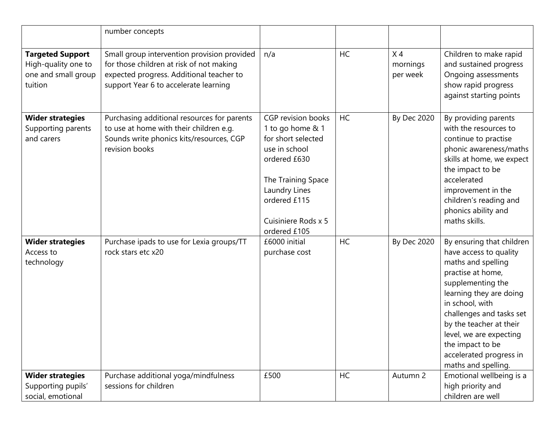|                                                                                  | number concepts                                                                                                                                                              |                                                                                                                                                                                             |           |                                        |                                                                                                                                                                                                                                                                                                                           |
|----------------------------------------------------------------------------------|------------------------------------------------------------------------------------------------------------------------------------------------------------------------------|---------------------------------------------------------------------------------------------------------------------------------------------------------------------------------------------|-----------|----------------------------------------|---------------------------------------------------------------------------------------------------------------------------------------------------------------------------------------------------------------------------------------------------------------------------------------------------------------------------|
| <b>Targeted Support</b><br>High-quality one to<br>one and small group<br>tuition | Small group intervention provision provided<br>for those children at risk of not making<br>expected progress. Additional teacher to<br>support Year 6 to accelerate learning | n/a                                                                                                                                                                                         | HC        | X <sub>4</sub><br>mornings<br>per week | Children to make rapid<br>and sustained progress<br>Ongoing assessments<br>show rapid progress<br>against starting points                                                                                                                                                                                                 |
| <b>Wider strategies</b><br>Supporting parents<br>and carers                      | Purchasing additional resources for parents<br>to use at home with their children e.g.<br>Sounds write phonics kits/resources, CGP<br>revision books                         | CGP revision books<br>1 to go home & 1<br>for short selected<br>use in school<br>ordered £630<br>The Training Space<br>Laundry Lines<br>ordered £115<br>Cuisiniere Rods x 5<br>ordered £105 | <b>HC</b> | <b>By Dec 2020</b>                     | By providing parents<br>with the resources to<br>continue to practise<br>phonic awareness/maths<br>skills at home, we expect<br>the impact to be<br>accelerated<br>improvement in the<br>children's reading and<br>phonics ability and<br>maths skills.                                                                   |
| <b>Wider strategies</b><br>Access to<br>technology                               | Purchase ipads to use for Lexia groups/TT<br>rock stars etc x20                                                                                                              | £6000 initial<br>purchase cost                                                                                                                                                              | <b>HC</b> | <b>By Dec 2020</b>                     | By ensuring that children<br>have access to quality<br>maths and spelling<br>practise at home,<br>supplementing the<br>learning they are doing<br>in school, with<br>challenges and tasks set<br>by the teacher at their<br>level, we are expecting<br>the impact to be<br>accelerated progress in<br>maths and spelling. |
| <b>Wider strategies</b><br>Supporting pupils'<br>social, emotional               | Purchase additional yoga/mindfulness<br>sessions for children                                                                                                                | £500                                                                                                                                                                                        | HC        | Autumn 2                               | Emotional wellbeing is a<br>high priority and<br>children are well                                                                                                                                                                                                                                                        |